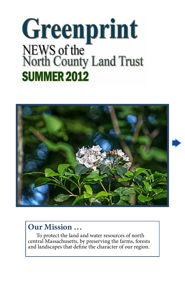# Greenprint NEWS of the<br>North County Land Trust **SUMMER 2012**



# **Our Mission …**

To protect the land and water resources of north central Massachusetts, by preserving the farms, forests and landscapes that define the character of our region.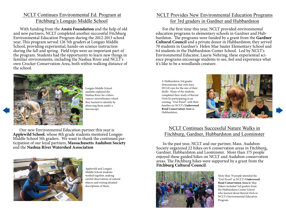#### NCLT Continues Environmental Ed. Program at Fitchburg's Longsjo Middle School

With funding from the **Ansin Foundation** and the help of old and new partners, NCLT completed another successful Fitchburg Environmental Education Program during the 2012-2013 school year. This program served 126 5th graders at Longsjo Middle School, providing experiential, hands-on science instruction during the fall and spring. Field trips were an important part of the program. Students had the opportunity to learn new things in familiar environments, including the Nashua River and NCLT's own Crocker Conservation Area, both within walking distance of the school.



Longsjo Middle School students explored the Nashua River for critters (macro-invertebrates) which they learned to identify by observing them under a microscope.

Our new Environmental Education partner this year is **Applewild School**, whose 8th grade students mentored Longsjo Middle School 5th graders. We want to thank the continued participation of our loyal partners, **Massachusetts Audubon Society** and the **Nashua River Watershed Association**



Applewild and Longsjo Middle School students worked together, making careful observations of natural objects and writing detailed descriptions of them.

#### NCLT Provides New Environmental Education Programs for 3rd graders in Gardner and Hubbardston

For the first time this year, NCLT provided environmental education programs to elementary schools in Gardner and Hubbardston. The programs were funded by a grant from the **Gardner Cultural Council** and a private donor in Hubbardston; they served 70 students in Gardner's Helen Mae Sauter Elementary School and 64 students in the Hubbardston Center School. Led by NCLT's ence programs encourage students to see, feel and experience what it's like to be a woodlands creature.

A Hubbardston 3rd grader demonstrates that owls have HUGE eyes for the size of their skulls. Many of the students completed their study of Barred Owls by participating in an evening "Owl Prowl" with their families on NCLT's **Underwood Road Conservation Area** in Hubbardston.



#### NCLT Continues Successful Nature Walks in Fitchburg, Gardner, Hubbardston and Leominster

In the past year, NCLT and our partner, Mass. Audubon Society organized 22 hikes on 6 conservation areas in Fitchburg, Gardner, Hubbardston and Leominster. More than 175 people enjoyed these guided hikes on NCLT and Audubon conservation areas. The Fitchburg hikes were supported by a grant from the **Fitchburg Cultural Council**.



More than 70 people attended the "Owl Prowl" at NCLT's **Underwood Road Conservation Area i**n May. Hikers included 3rd graders from the Hubbardston Center School who learned about Barred Owls in NCLT's Environmental Education Program.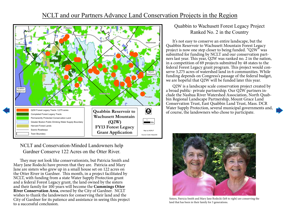## NCLT and our Partners Advance Land Conservation Projects in the Region



NCLT and Conservation-Minded Landowners help Gardner Conserve 122 Acres on the Otter River.

They may not look like conservationists, but Patricia Smith and Mary Jane Rodecki have proven that they are. Patricia and Mary Jane are sisters who grew up in a small house set on 122 acres on the Otter River in Gardner. This month, in a project facilitated by NCLT, with funding from a state Water Supply Protection grant and a federal Forest Legacy grant, the land owned by the sisters and their family for 100 years will become the **Cummings Otter River Conservation Area**, owned by the City of Gardner. NCLT wishes to thank the landowners for conserving their land and the City of Gardner for its patience and assistance in seeing this project to a successful conclusion.

#### Quabbin to Wachusett Forest Legacy Project Ranked No. 2 in the Country

It's not easy to conserve an entire landscape, but the Quabbin Reservoir to Wachusett Mountain Forest Legacy project is now one step closer to being funded. "Q2W" was submitted for funding by NCLT and our conservation partners last year. This year, Q2W was ranked no. 2 in the nation, in a competition of 69 projects submitted by 48 states to the federal Forest Legacy grant program. This project would conserve 3,275 acres of watershed land in 6 communities. While funding depends on Congress's passage of the federal budget, we are hopeful that Q2W will be funded later this year.

Q2W is a landscape scale conservation project created by a broad public- private partnership. Our Q2W partners include the Nashua River Watershed Association, North Quabbin Regional Landscape Partnership, Mount Grace Land Conservation Trust, East Quabbin Land Trust, Mass. DCR Water Supply Protection, several municipal governments and, of course, the landowners who chose to participate.



Sisters, Patricia Smith and Mary Jane Rodecki (left to right) are conserving the land that has been in their family for 3 generations.